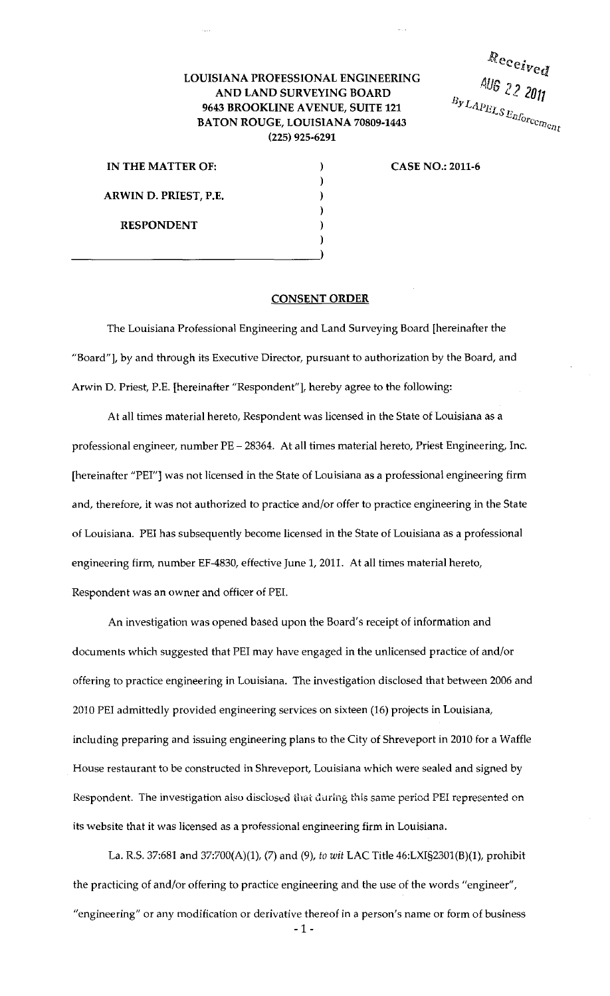## **LOUISIANA PROFESSIONAL ENGINEERING AND LAND SURVEYING BOARD 9643 BROOKLINE A VENUE, SUITE 121 BATON ROUGE, LOUISIANA 70809-1443 (225) 925-6291**

Received AUG 22 2011  $B_{\mathcal{Y}LAPELS}\frac{\log 2}{\mathcal{Z}L_{\mathcal{U}_{\mathcal{O}_{r}}}}$ 

| IN THE MATTER OF:     |  |
|-----------------------|--|
|                       |  |
| ARWIN D. PRIEST, P.E. |  |
|                       |  |
| <b>RESPONDENT</b>     |  |
|                       |  |
|                       |  |

**CASE NO.: 2011-6** 

## **CONSENT ORDER**

The Louisiana Professional Engineering and Land Surveying Board [hereinafter the "Board"], by and through its Executive Director, pursuant to authorization by the Board, and Arwin D. Priest, P.E. [hereinafter "Respondent"], hereby agree to the following:

At all times material hereto, Respondent was licensed in the State of Louisiana as a professional engineer, number PE- 28364. At all times material hereto, Priest Engineering, Inc. [hereinafter "PEI"] was not licensed in the State of Louisiana as a professional engineering firm and, therefore, it was not authorized to practice and/or offer to practice engineering in the State of Louisiana. PEI has subsequently become licensed in the State of Louisiana as a professional engineering firm, number EF-4830, effective June 1, 2011. At all times material hereto, Respondent was an owner and officer of PEL

An investigation was opened based upon the Board's receipt of information and documents which suggested that PEI may have engaged in the unlicensed practice of and/or offering to practice engineering in Louisiana. The investigation disclosed that between 2006 and 2010 PEI admittedly provided engineering services on sixteen (16) projects in Louisiana, including preparing and issuing engineering plans to the City of Shreveport in 2010 for a Waffle House restaurant to be constructed in Shreveport, Louisiana which were sealed and signed by Respondent. The investigation also disclosed that during this same period PEI represented on its website that it was licensed as a professional engineering firm in Louisiana.

La. R.S. 37:681 and 37:700(A)(1), (7) and (9), *to wit* LAC Title 46:LXI§230l(B)(1), prohibit the practicing of and/or offering to practice engineering and the use of the words "engineer", "engineering" or any modification or derivative thereof in a person's name or form of business

-1 -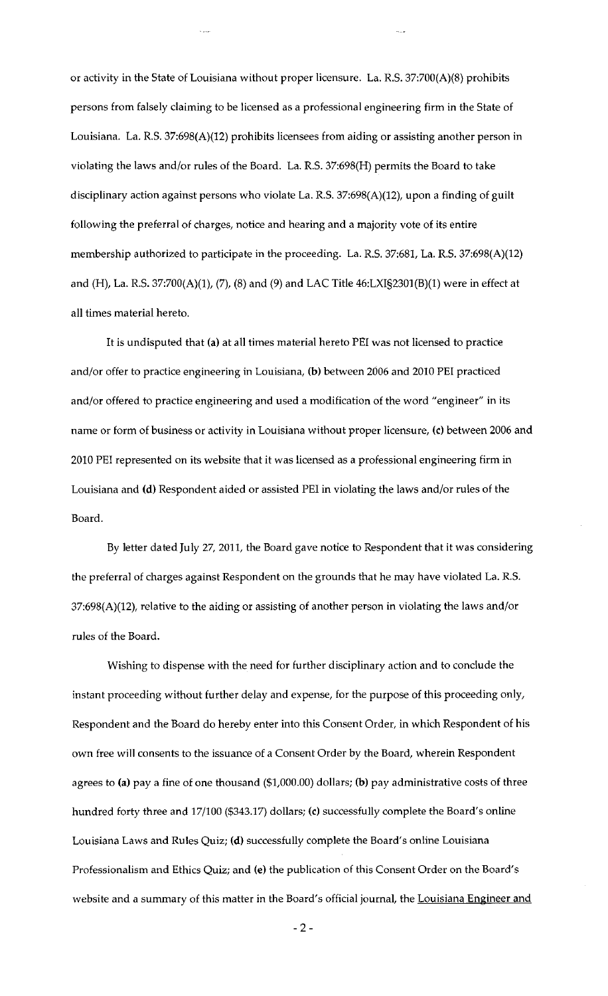or activity in the State of Louisiana without proper licensure. La. R.S. 37:700(A)(8) prohibits persons from falsely claiming to be licensed as a professional engineering firm in the State of Louisiana. La. R.S. 37:698(A)(12) prohibits licensees from aiding or assisting another person in violating the laws and/or rules of the Board. La. R.S. 37:698(H) permits the Board to take disciplinary action against persons who violate La. R.S. 37:698(A)(12), upon a finding of guilt following the preferral of charges, notice and hearing and a majority vote of its entire membership authorized to participate in the proceeding. La. R.S. 37:681, La. R.S. 37:698(A)(12) and (H), La. R.S. 37:700(A)(1), (7), (8) and (9) and LAC Title 46:LXI§2301(B)(1) were in effect at all times material hereto.

It is undisputed that (a) at all times material hereto PEl was not licensed to practice and/or offer to practice engineering in Louisiana, (b) between 2006 and 2010 PEl practiced and/or offered to practice engineering and used a modification of the word "engineer" in its name or form of business or activity in Louisiana without proper licensure, (c) between 2006 and 2010 PEl represented on its website that it was licensed as a professional engineering firm in Louisiana and (d) Respondent aided or assisted PEl in violating the laws and/or rules of the Board.

By letter dated July 27, 2011, the Board gave notice to Respondent that it was considering the preferral of charges against Respondent on the grounds that he may have violated La. R.S. 37:698(A)(12), relative to the aiding or assisting of another person in violating the laws and/or rules of the Board.

Wishing to dispense with the need for further disciplinary action and to conclude the instant proceeding without further delay and expense, for the purpose of this proceeding only, Respondent and the Board do hereby enter into this Consent Order, in which Respondent of his own free will consents to the issuance of a Consent Order by the Board, wherein Respondent agrees to (a) pay a fine of one thousand (\$1,000.00) dollars; (b) pay administrative costs of three hundred forty three and 17/100 (\$343.17) dollars; (c) successfully complete the Board's online Louisiana Laws and Rules Quiz; (d) successfully complete the Board's online Louisiana Professionalism and Ethics Quiz; and (e) the publication of this Consent Order on the Board's website and a summary of this matter in the Board's official journal, the Louisiana Engineer and

-2-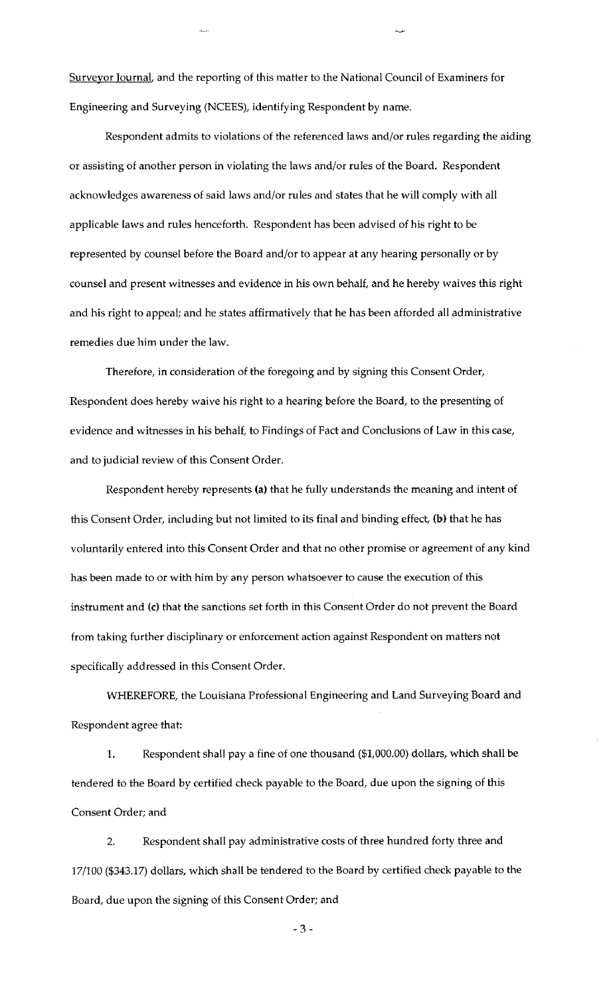Surveyor Journal, and the reporting of this matter to the National Council of Examiners for Engineering and Surveying (NCEES), identifying Respondent by name.

Respondent admits to violations of the referenced laws and/or rules regarding the aiding or assisting of another person in violating the laws and/or rules of the Board. Respondent acknowledges awareness of said laws and/or rules and states that he will comply with all applicable laws and rules henceforth. Respondent has been advised of his right to be represented by counsel before the Board and/or to appear at any hearing personally or by counsel and present witnesses and evidence in his own behalf, and he hereby waives this right and his right to appeal; and he states affirmatively that he has been afforded all administrative remedies due him under the law.

Therefore, in consideration of the foregoing and by signing this Consent Order, Respondent does hereby waive his right to a hearing before the Board, to the presenting of evidence and witnesses in his behalf, to Findings of Fact and Conclusions of Law in this case, and to judicial review of this Consent Order.

Respondent hereby represents (a) that he fully understands the meaning and intent of this Consent Order, including but not limited to its final and binding effect, (b) that he has voluntarily entered into this Consent Order and that no other promise or agreement of any kind has been made to or with him by any person whatsoever to cause the execution of this instrument and (c) that the sanctions set forth in this Consent Order do not prevent the Board from taking further disciplinary or enforcement action against Respondent on matters not specifically addressed in this Consent Order.

WHEREFORE, the Louisiana Professional Engineering and Land Surveying Board and Respondent agree that:

1. Respondent shall pay a fine of one thousand (\$1,000.00) dollars, which shall be tendered to the Board by certified check payable to the Board, due upon the signing of this Consent Order; and

2. Respondent shall pay administrative costs of three hundred forty three and 17/100 (\$343.17) dollars, which shall be tendered to the Board by certified check payable to the Board, due upon the signing of this Consent Order; and

-3-